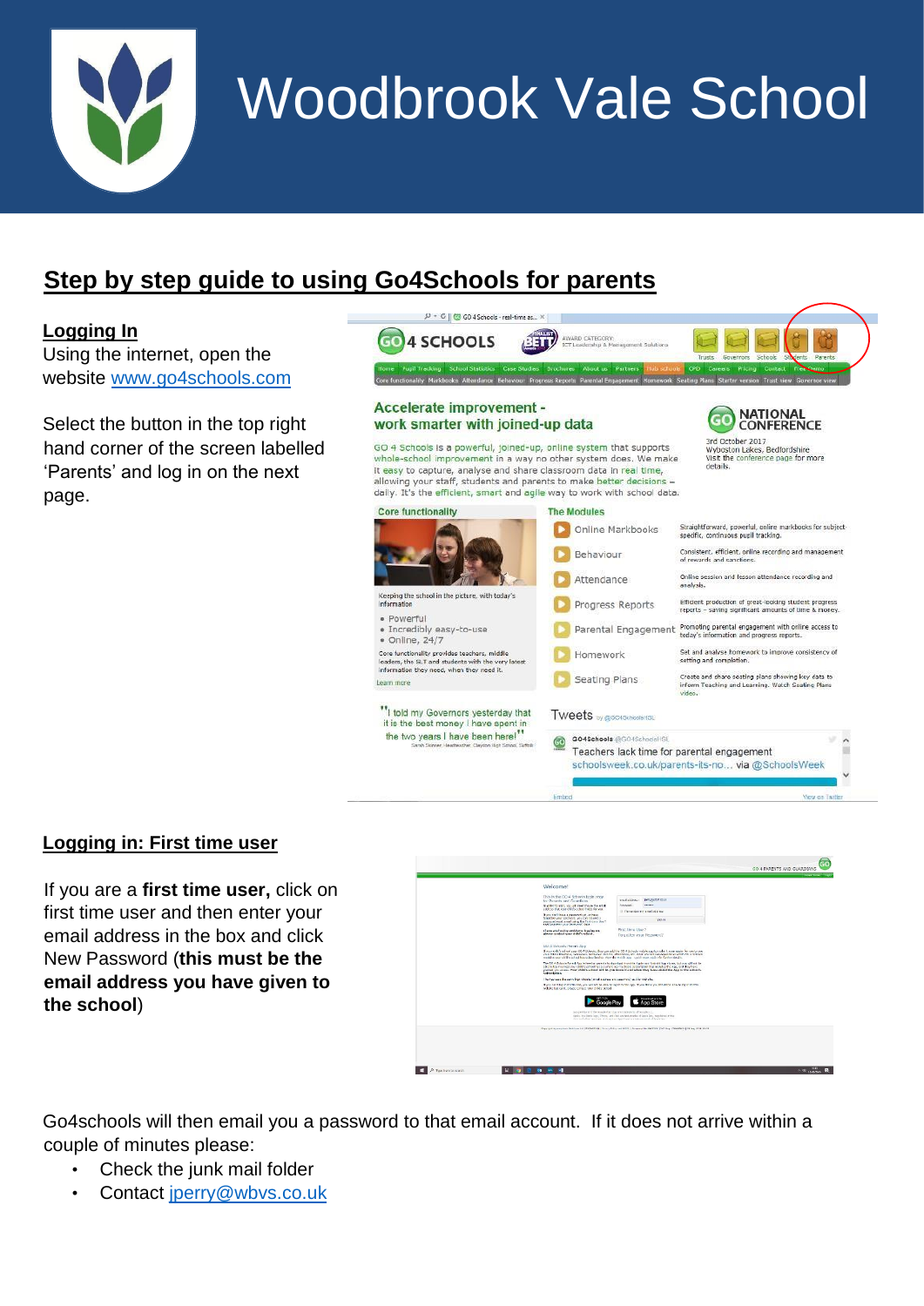

# Woodbrook Vale School

# **Step by step guide to using Go4Schools for parents**

### **Logging In**

Using the internet, open the website [www.go4schools.com](http://www.go4schools.com/)

Select the button in the top right hand corner of the screen labelled 'Parents' and log in on the next page.



# **Logging in: First time user**

If you are a **first time user,** click on first time user and then enter your email address in the box and click New Password (**this must be the email address you have given to the school**)



Go4schools will then email you a password to that email account. If it does not arrive within a couple of minutes please:

- Check the junk mail folder
- Contact jperry@wbvs.co.uk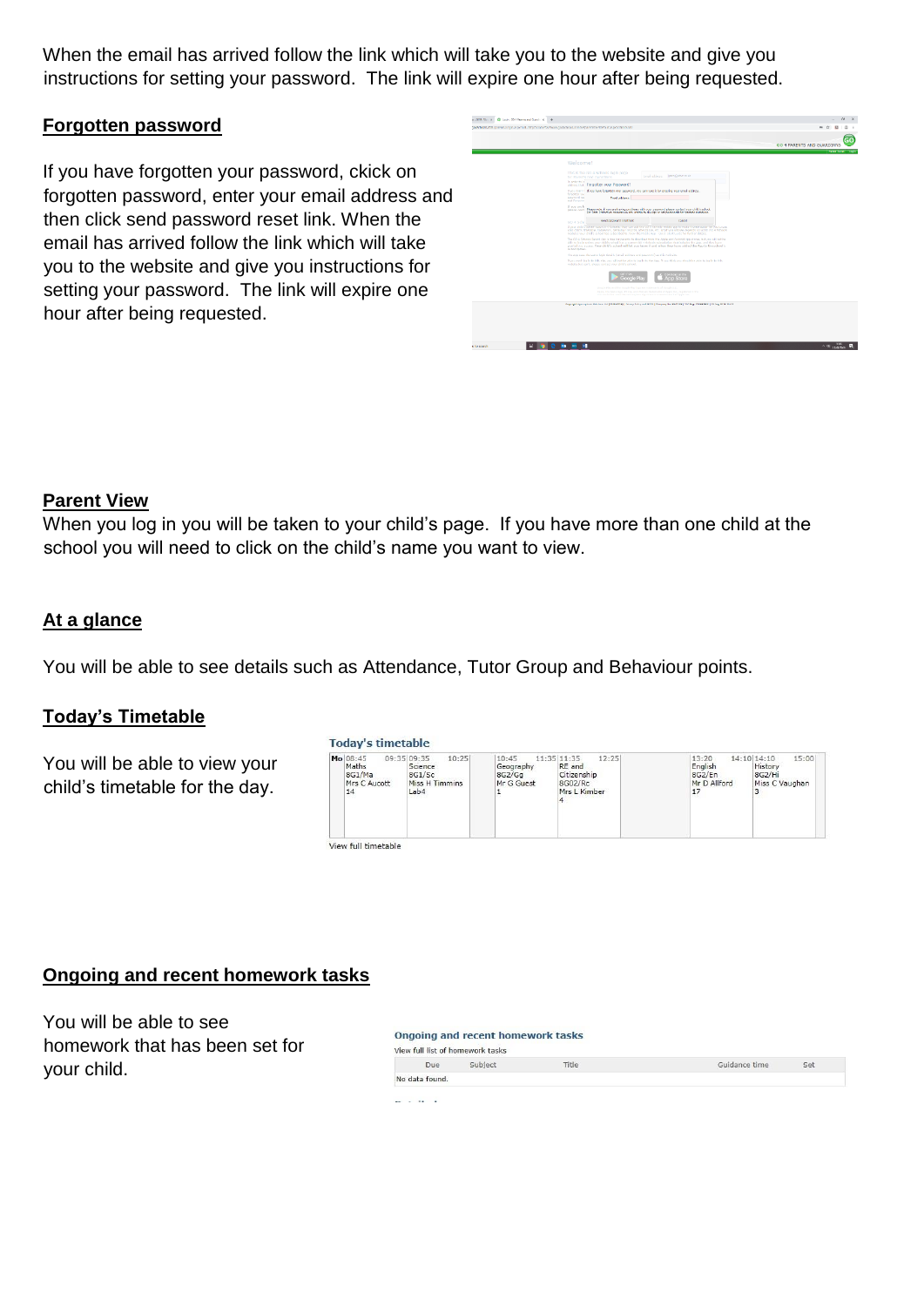When the email has arrived follow the link which will take you to the website and give you instructions for setting your password. The link will expire one hour after being requested.

#### **Forgotten password**

If you have forgotten your password, ckick on forgotten password, enter your email address and then click send password reset link. When the email has arrived follow the link which will take you to the website and give you instructions for setting your password. The link will expire one hour after being requested.

| Stadschenkunden (sammen) neutrangelten) interektivischen Stadschenkunden erfolgen erfolgen (Stadschenkunden) der                                                                                                                                                                                                                                                                   | ×.                        |
|------------------------------------------------------------------------------------------------------------------------------------------------------------------------------------------------------------------------------------------------------------------------------------------------------------------------------------------------------------------------------------|---------------------------|
|                                                                                                                                                                                                                                                                                                                                                                                    | GO 4 PARENTS AND GUARDIAN |
|                                                                                                                                                                                                                                                                                                                                                                                    | <b>EXAMPLE</b>            |
| Welcome!                                                                                                                                                                                                                                                                                                                                                                           |                           |
| This is the GO 4 Schools lagin page.<br>timal additions: Beensbehin et al.<br>for Parents and Guardians                                                                                                                                                                                                                                                                            |                           |
| To ender to let<br>address that Torgotten your Resewerd?                                                                                                                                                                                                                                                                                                                           |                           |
| If you continue there have forgetten your password, you can reset it by entering your creat address.<br>fresomes you                                                                                                                                                                                                                                                               |                           |
| <b>DIGITALIST INC.</b><br><b>FoxEaddate:</b><br>and Frenche                                                                                                                                                                                                                                                                                                                        |                           |
| If you are hi<br>please cost. Reale ride, if you are having problems with your password please contact your child's school.<br>Der Date Dreinerten reasses sin zen unable in durüge an net ponsunelle für nameen zuereihen.                                                                                                                                                        |                           |
| <b>Sond aggressed coast Erik</b><br>crecel<br>GO 4 Scho                                                                                                                                                                                                                                                                                                                            |                           |
| If your child's school cars CO 4 Schools, they can add the SO 4 schools mobile app to make it even easier for you to see.<br>voir chick financia, hameson, behindog recorts, attentions, etc. What you will see depends on which CO 4 Schools.<br>modules your dilld's school has subscribed to, view the moliki ago could: start build: no hartter details.                       |                           |
| The GO 4 Schools Parent App is tree for parents to download from the Apple and Android App stores, but you will not be<br>able to lea in unless your child's school has a current GO 4 Schools subscription that includes the App, and they have<br>cranted you access. Your child's school will let you know if and when they have added the Age to the school's<br>subscription. |                           |
| The App says the same look details formal actions and password) as this web also.                                                                                                                                                                                                                                                                                                  |                           |
| If you can't loo in this this, you gill not be phin to loo in the Jap. If you think you should be able to loo in this.<br>website but can't, please contact your drifd's school.                                                                                                                                                                                                   |                           |
| .nn Star                                                                                                                                                                                                                                                                                                                                                                           |                           |
| singular Play and the Grande Play Jugo are trademarks of Goods U.C.<br>Apple, the Apple local. Phane, and that are trademarks of Apple Dre., resistance in the<br>the and other countries and species. App branchs a persist much of Australian                                                                                                                                    |                           |
| Gayraid Specialists Schlare (3) [2009-0010] News Rice and HDS   Gargany Bis 2017 000   USS Sap 70002002   12 Aug 2010 10:12                                                                                                                                                                                                                                                        |                           |
|                                                                                                                                                                                                                                                                                                                                                                                    |                           |
|                                                                                                                                                                                                                                                                                                                                                                                    |                           |
|                                                                                                                                                                                                                                                                                                                                                                                    |                           |

#### **Parent View**

When you log in you will be taken to your child's page. If you have more than one child at the school you will need to click on the child's name you want to view.

#### **At a glance**

You will be able to see details such as Attendance, Tutor Group and Behaviour points.

Today's timetable

#### **Today's Timetable**

You will be able to view your child's timetable for the day.

| Mo 08:45<br>Maths<br>8G1/Ma<br>Mrs C Aucott<br>14 | 09:35 09:35<br>10:25<br>Science<br>8G1/Sc<br>Miss H Timmins<br>Lab4<br>-9866 | 10:45<br>Geography<br>8G2/Gq<br>Mr G Guest | 12:25<br>11:35 11:35<br>RE and<br>Citizenship<br>8G02/Rc<br>Mrs L Kimber<br>4 | 13:20<br>English<br>8G2/En<br>Mr D Allford<br>17 | 15:00<br>14:10 14:10<br>History<br>8G2/Hi<br>Miss C Vaughan<br>3 |
|---------------------------------------------------|------------------------------------------------------------------------------|--------------------------------------------|-------------------------------------------------------------------------------|--------------------------------------------------|------------------------------------------------------------------|
|---------------------------------------------------|------------------------------------------------------------------------------|--------------------------------------------|-------------------------------------------------------------------------------|--------------------------------------------------|------------------------------------------------------------------|

#### **Ongoing and recent homework tasks**

You will be able to see homework that has been set for your child.

|     | View full list of homework tasks |              |               |     |
|-----|----------------------------------|--------------|---------------|-----|
| Due | subject                          | <b>Fitle</b> | Guidance time | Set |

 $-1 - 1 - 1$ 

.<br>A constituto estas versiones de constituto de la constitución de la constitución de la constitución de la cons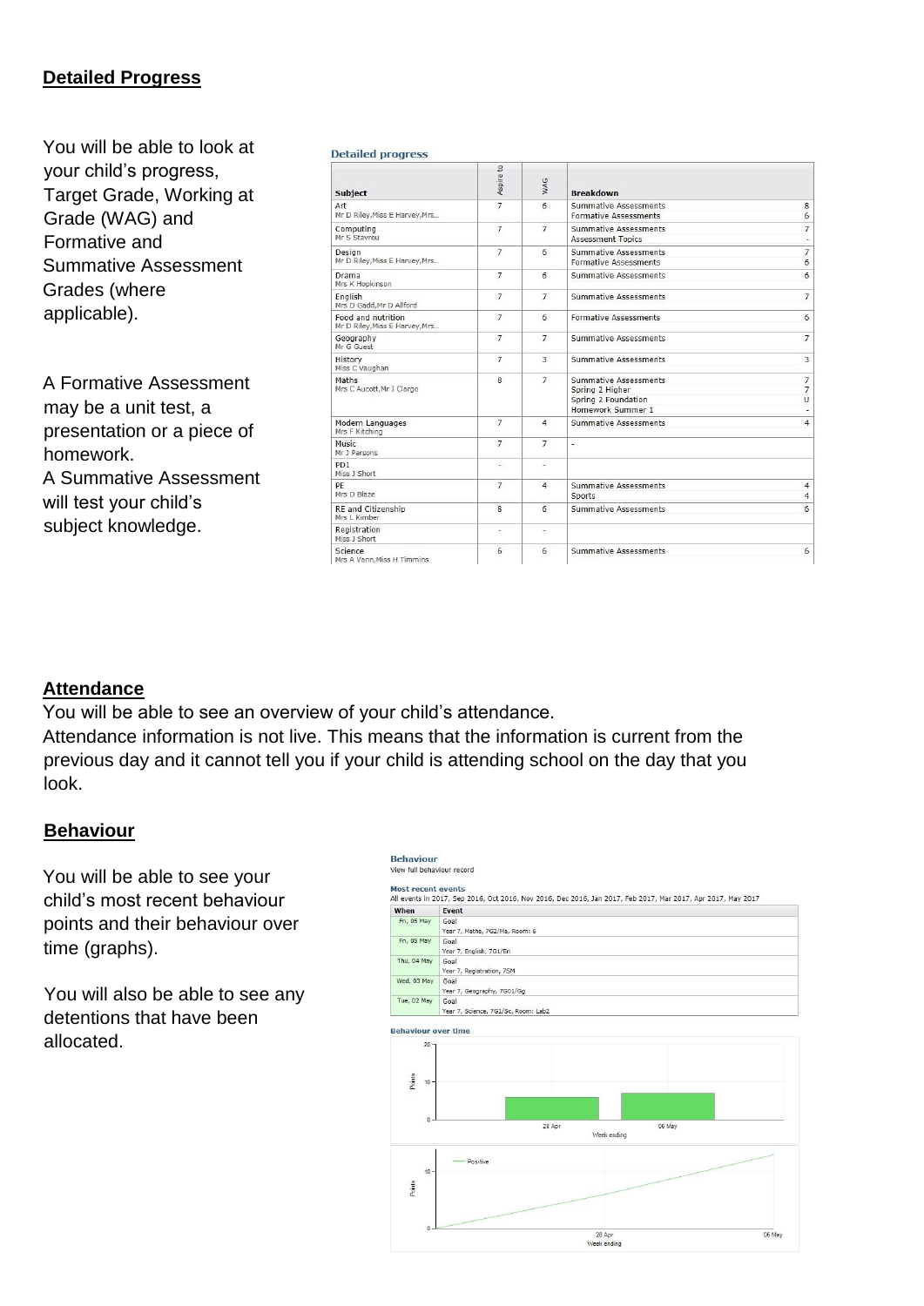# **Detailed Progress**

You will be able to look at your child's progress, Target Grade, Working at Grade (WAG) and Formative and Summative Assessment Grades (where applicable).

A Formative Assessment may be a unit test, a presentation or a piece of homework. A Summative Assessment will test your child's subject knowledge.

| <b>Detailed progress</b>                             |                          |                 |                                                                                      |                                            |  |  |
|------------------------------------------------------|--------------------------|-----------------|--------------------------------------------------------------------------------------|--------------------------------------------|--|--|
| <b>Subject</b>                                       | Aspire to                | WAG             | <b>Breakdown</b>                                                                     |                                            |  |  |
| Art<br>Mr D Riley, Miss E Harvey, Mrs                | $\overline{7}$           | 6               | <b>Summative Assessments</b><br><b>Formative Assessments</b>                         | 8<br>6                                     |  |  |
| Computing<br>Mr S Stavrou                            | $\overline{7}$           | $\overline{7}$  | <b>Summative Assessments</b><br><b>Assessment Topics</b>                             | $\overline{7}$<br>$\overline{\phantom{a}}$ |  |  |
| Design<br>Mr D Riley, Miss E Harvey, Mrs             | $\overline{7}$           | 6               | <b>Summative Assessments</b><br><b>Formative Assessments</b>                         | $\overline{7}$<br>6                        |  |  |
| Drama<br>Mrs K Hopkinson                             | $\overline{7}$           | 6               | <b>Summative Assessments</b>                                                         | 6                                          |  |  |
| English<br>Mrs D Gadd, Mr D Allford                  | $\overline{7}$           | $\overline{7}$  | <b>Summative Assessments</b>                                                         | $7\overline{ }$                            |  |  |
| Food and nutrition<br>Mr D Riley, Miss E Harvey, Mrs | $\overline{7}$           | 6               | <b>Formative Assessments</b>                                                         | 6                                          |  |  |
| Geography<br>Mr G Guest                              | 7                        | $\overline{7}$  | <b>Summative Assessments</b>                                                         | $\overline{7}$                             |  |  |
| History<br>Miss C Vaughan                            | $\overline{7}$           | 3               | <b>Summative Assessments</b>                                                         | $\overline{3}$                             |  |  |
| Maths.<br>Mrs C Aucott, Mr I Clargo                  | 8                        | $\overline{7}$  | Summative Assessments<br>Spring 2 Higher<br>Spring 2 Foundation<br>Homework Summer 1 | $\overline{7}$<br>$\overline{7}$<br>U      |  |  |
| Modern Languages<br>Mrs F Kitching                   | $\overline{7}$           | $\overline{4}$  | <b>Summative Assessments</b>                                                         | $\overline{4}$                             |  |  |
| Music.<br>Mr J Parsons                               | $\overline{7}$           | $\overline{7}$  | ÷.                                                                                   |                                            |  |  |
| PD <sub>1</sub><br>Miss 1 Short                      | ۰.                       | ٠               |                                                                                      |                                            |  |  |
| PF<br>Mrs D Blaze                                    | $\overline{7}$           | $\overline{4}$  | <b>Summative Assessments</b><br>Sports                                               | $\overline{4}$<br>$\overline{4}$           |  |  |
| RE and Citizenship<br>Mrs L Kimber                   | 8                        | 6               | <b>Summative Assessments</b>                                                         | $6\overline{6}$                            |  |  |
| Registration<br>Miss 1 Short                         | $\overline{\phantom{a}}$ | ۰               |                                                                                      |                                            |  |  |
| Science<br>Mrs A Vann, Miss H Timmins                | 6                        | $6\overline{6}$ | <b>Summative Assessments</b>                                                         | 6                                          |  |  |

#### **Attendance**

You will be able to see an overview of your child's attendance. Attendance information is not live. This means that the information is current from the previous day and it cannot tell you if your child is attending school on the day that you look.

#### **Behaviour**

You will be able to see your child's most recent behaviour points and their behaviour over time (graphs).

You will also be able to see any detentions that have been allocated.